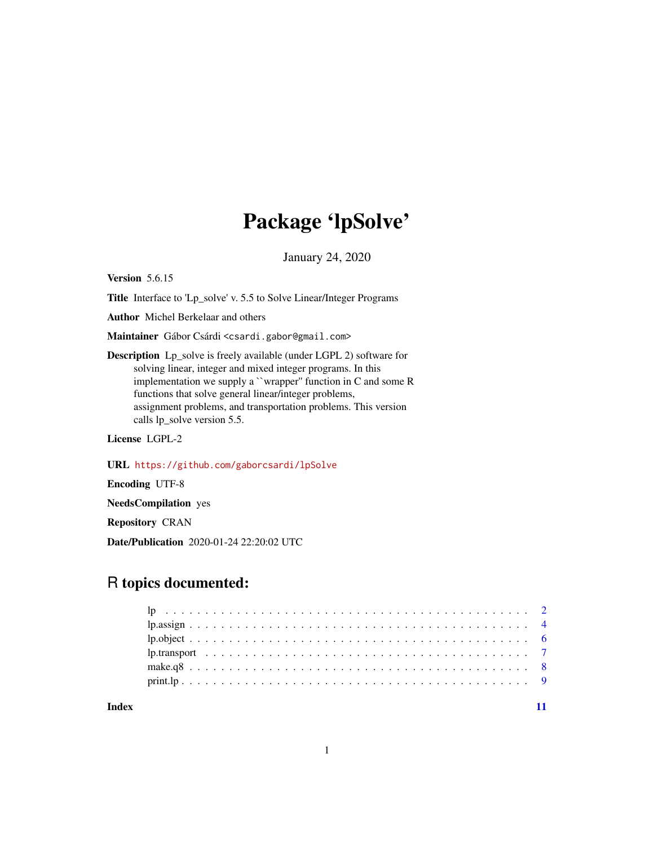# Package 'lpSolve'

January 24, 2020

Version 5.6.15

Title Interface to 'Lp\_solve' v. 5.5 to Solve Linear/Integer Programs

Author Michel Berkelaar and others

Maintainer Gábor Csárdi <csardi.gabor@gmail.com>

Description Lp\_solve is freely available (under LGPL 2) software for solving linear, integer and mixed integer programs. In this implementation we supply a ``wrapper'' function in C and some R functions that solve general linear/integer problems, assignment problems, and transportation problems. This version calls lp\_solve version 5.5.

License LGPL-2

URL <https://github.com/gaborcsardi/lpSolve>

Encoding UTF-8

NeedsCompilation yes

Repository CRAN

Date/Publication 2020-01-24 22:20:02 UTC

# R topics documented:

#### **Index** [11](#page-10-0)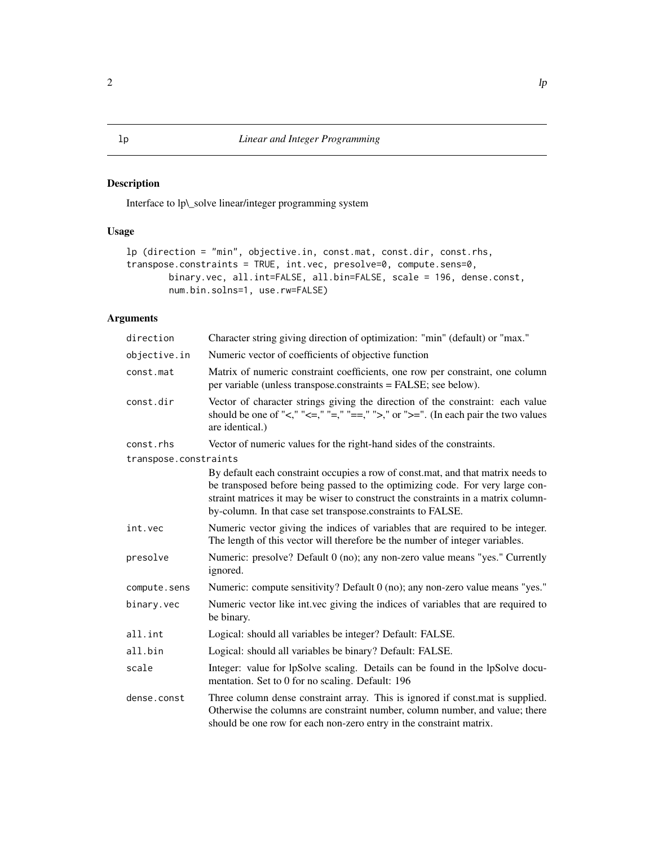# <span id="page-1-1"></span><span id="page-1-0"></span>Description

Interface to lp\\_solve linear/integer programming system

# Usage

```
lp (direction = "min", objective.in, const.mat, const.dir, const.rhs,
transpose.constraints = TRUE, int.vec, presolve=0, compute.sens=0,
        binary.vec, all.int=FALSE, all.bin=FALSE, scale = 196, dense.const,
        num.bin.solns=1, use.rw=FALSE)
```
# Arguments

| direction             | Character string giving direction of optimization: "min" (default) or "max."                                                                                                                                                                                                                                          |
|-----------------------|-----------------------------------------------------------------------------------------------------------------------------------------------------------------------------------------------------------------------------------------------------------------------------------------------------------------------|
| objective.in          | Numeric vector of coefficients of objective function                                                                                                                                                                                                                                                                  |
| const.mat             | Matrix of numeric constraint coefficients, one row per constraint, one column<br>per variable (unless transpose.constraints = FALSE; see below).                                                                                                                                                                      |
| const.dir             | Vector of character strings giving the direction of the constraint: each value<br>should be one of "<," "<=," "=," ">," or ">=". (In each pair the two values<br>are identical.)                                                                                                                                      |
| const.rhs             | Vector of numeric values for the right-hand sides of the constraints.                                                                                                                                                                                                                                                 |
| transpose.constraints |                                                                                                                                                                                                                                                                                                                       |
|                       | By default each constraint occupies a row of const.mat, and that matrix needs to<br>be transposed before being passed to the optimizing code. For very large con-<br>straint matrices it may be wiser to construct the constraints in a matrix column-<br>by-column. In that case set transpose.constraints to FALSE. |
| int.vec               | Numeric vector giving the indices of variables that are required to be integer.<br>The length of this vector will therefore be the number of integer variables.                                                                                                                                                       |
| presolve              | Numeric: presolve? Default 0 (no); any non-zero value means "yes." Currently<br>ignored.                                                                                                                                                                                                                              |
| compute.sens          | Numeric: compute sensitivity? Default 0 (no); any non-zero value means "yes."                                                                                                                                                                                                                                         |
| binary.vec            | Numeric vector like int.vec giving the indices of variables that are required to<br>be binary.                                                                                                                                                                                                                        |
| all.int               | Logical: should all variables be integer? Default: FALSE.                                                                                                                                                                                                                                                             |
| all.bin               | Logical: should all variables be binary? Default: FALSE.                                                                                                                                                                                                                                                              |
| scale                 | Integer: value for lpSolve scaling. Details can be found in the lpSolve docu-<br>mentation. Set to 0 for no scaling. Default: 196                                                                                                                                                                                     |
| dense.const           | Three column dense constraint array. This is ignored if const.mat is supplied.<br>Otherwise the columns are constraint number, column number, and value; there<br>should be one row for each non-zero entry in the constraint matrix.                                                                                 |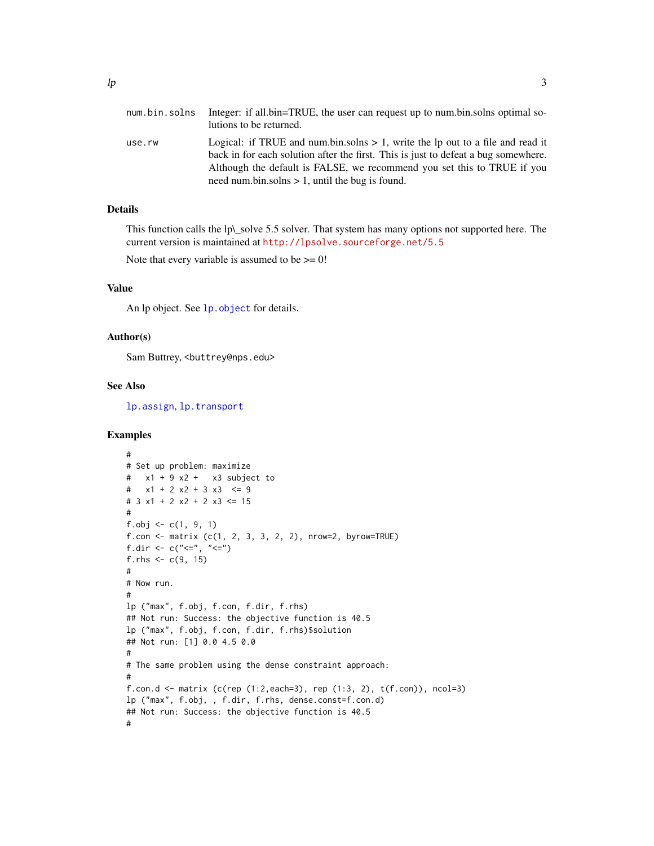<span id="page-2-0"></span>

| num.bin.solns | Integer: if all bin=TRUE, the user can request up to num bin solns optimal so-<br>lutions to be returned.                                                                                                                                                                                                |
|---------------|----------------------------------------------------------------------------------------------------------------------------------------------------------------------------------------------------------------------------------------------------------------------------------------------------------|
| use.rw        | Logical: if TRUE and num.bin.solns $> 1$ , write the lp out to a file and read it<br>back in for each solution after the first. This is just to defeat a bug somewhere.<br>Although the default is FALSE, we recommend you set this to TRUE if you<br>need num.bin.solns $> 1$ , until the bug is found. |

# Details

This function calls the lp\\_solve 5.5 solver. That system has many options not supported here. The current version is maintained at <http://lpsolve.sourceforge.net/5.5>

Note that every variable is assumed to be  $\geq$  = 0!

# Value

An lp object. See [lp.object](#page-5-1) for details.

#### Author(s)

Sam Buttrey, <br/>buttrey@nps.edu>

#### See Also

[lp.assign](#page-3-1), [lp.transport](#page-6-1)

### Examples

```
#
# Set up problem: maximize
# x1 + 9 x2 + x3 subject to
# x1 + 2 x2 + 3 x3 \le 9# 3 x1 + 2 x2 + 2 x3 \le 15#
f.obj <- c(1, 9, 1)
f.com \leftarrow matrix (c(1, 2, 3, 3, 2, 2), nrow=2, byrow=TRUE)f.dir <- c("< =", "<=")f.rhs \leq c(9, 15)#
# Now run.
#
lp ("max", f.obj, f.con, f.dir, f.rhs)
## Not run: Success: the objective function is 40.5
lp ("max", f.obj, f.con, f.dir, f.rhs)$solution
## Not run: [1] 0.0 4.5 0.0
#
# The same problem using the dense constraint approach:
#
f.con.d <- matrix (c(rep (1:2, each=3), rep (1:3, 2), t(f.com)), ncol=3)
lp ("max", f.obj, , f.dir, f.rhs, dense.const=f.con.d)
## Not run: Success: the objective function is 40.5
#
```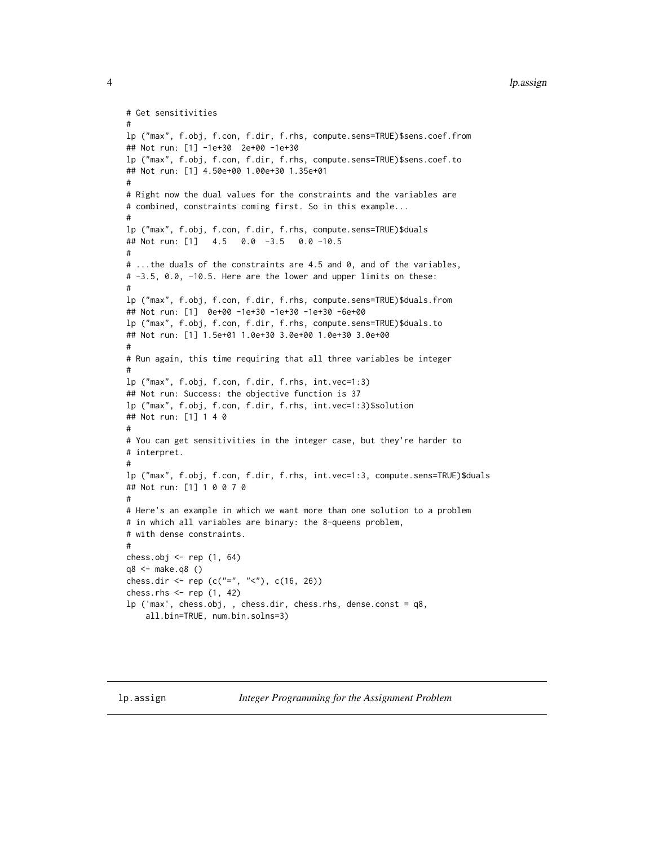```
# Get sensitivities
#
lp ("max", f.obj, f.con, f.dir, f.rhs, compute.sens=TRUE)$sens.coef.from
## Not run: [1] -1e+30 2e+00 -1e+30
lp ("max", f.obj, f.con, f.dir, f.rhs, compute.sens=TRUE)$sens.coef.to
## Not run: [1] 4.50e+00 1.00e+30 1.35e+01
#
# Right now the dual values for the constraints and the variables are
# combined, constraints coming first. So in this example...
#
lp ("max", f.obj, f.con, f.dir, f.rhs, compute.sens=TRUE)$duals
## Not run: [1] 4.5 0.0 -3.5 0.0 -10.5
#
# ...the duals of the constraints are 4.5 and 0, and of the variables,
# -3.5, 0.0, -10.5. Here are the lower and upper limits on these:
#
lp ("max", f.obj, f.con, f.dir, f.rhs, compute.sens=TRUE)$duals.from
## Not run: [1] 0e+00 -1e+30 -1e+30 -1e+30 -6e+00
lp ("max", f.obj, f.con, f.dir, f.rhs, compute.sens=TRUE)$duals.to
## Not run: [1] 1.5e+01 1.0e+30 3.0e+00 1.0e+30 3.0e+00
#
# Run again, this time requiring that all three variables be integer
#
lp ("max", f.obj, f.con, f.dir, f.rhs, int.vec=1:3)
## Not run: Success: the objective function is 37
lp ("max", f.obj, f.con, f.dir, f.rhs, int.vec=1:3)$solution
## Not run: [1] 1 4 0
#
# You can get sensitivities in the integer case, but they're harder to
# interpret.
#
lp ("max", f.obj, f.con, f.dir, f.rhs, int.vec=1:3, compute.sens=TRUE)$duals
## Not run: [1] 1 0 0 7 0
#
# Here's an example in which we want more than one solution to a problem
# in which all variables are binary: the 8-queens problem,
# with dense constraints.
#
chess.obj <- rep (1, 64)
q8 <- make.q8 ()
chess.dir <- rep (c("="", "<<"), c(16, 26))chess.rhs <- rep (1, 42)
lp ('max', chess.obj, , chess.dir, chess.rhs, dense.const = q8,
    all.bin=TRUE, num.bin.solns=3)
```
<span id="page-3-0"></span>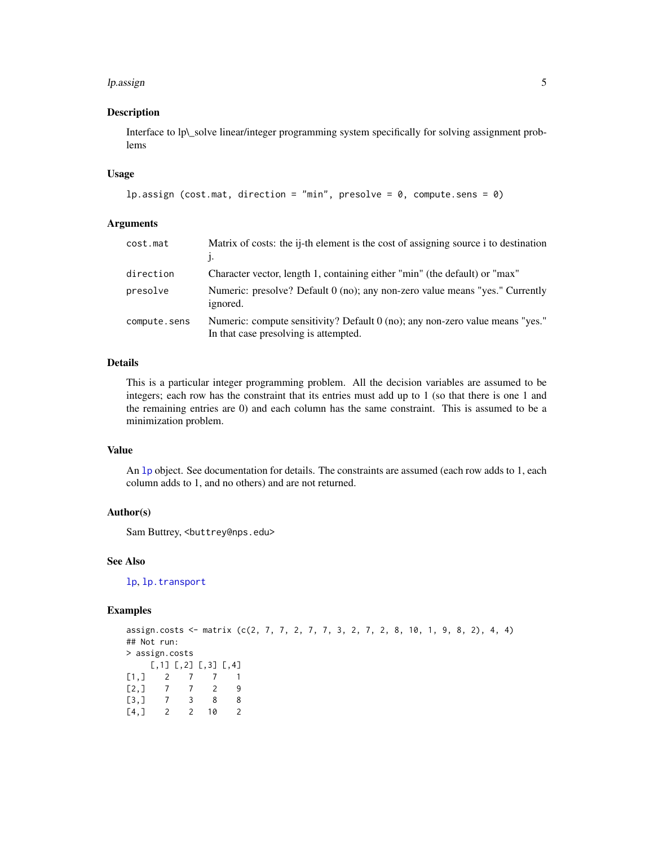#### <span id="page-4-0"></span>lp.assign 5 and 5 and 5 and 5 and 5 and 5 and 5 and 5 and 5 and 5 and 5 and 5 and 5 and 5 and 5 and 5 and 5 and 5 and 5 and 5 and 5 and 5 and 5 and 5 and 5 and 5 and 5 and 5 and 5 and 5 and 5 and 5 and 5 and 5 and 5 and 5

#### Description

Interface to lp\\_solve linear/integer programming system specifically for solving assignment problems

#### Usage

```
lp.assign (cost.mat, direction = "min", presolve = 0, compute.sens = 0)
```
# Arguments

| cost.mat     | Matrix of costs: the i-th element is the cost of assigning source i to destination                                       |
|--------------|--------------------------------------------------------------------------------------------------------------------------|
| direction    | Character vector, length 1, containing either "min" (the default) or "max"                                               |
| presolve     | Numeric: presolve? Default 0 (no); any non-zero value means "yes." Currently<br>ignored.                                 |
| compute.sens | Numeric: compute sensitivity? Default $0$ (no); any non-zero value means "yes."<br>In that case presolving is attempted. |

#### Details

This is a particular integer programming problem. All the decision variables are assumed to be integers; each row has the constraint that its entries must add up to 1 (so that there is one 1 and the remaining entries are 0) and each column has the same constraint. This is assumed to be a minimization problem.

# Value

An [lp](#page-1-1) object. See documentation for details. The constraints are assumed (each row adds to 1, each column adds to 1, and no others) and are not returned.

#### Author(s)

Sam Buttrey, <br/>buttrey@nps.edu>

#### See Also

[lp](#page-1-1), [lp.transport](#page-6-1)

#### Examples

```
assign.costs <- matrix (c(2, 7, 7, 2, 7, 7, 3, 2, 7, 2, 8, 10, 1, 9, 8, 2), 4, 4)
## Not run:
> assign.costs
    [,1] [,2] [,3] [,4]
[1,] 2 7 7 1[2,] 7 7 2 9\begin{bmatrix} 3, & 7 & 3 & 8 & 8 \\ 4, & 2 & 2 & 10 & 2 \end{bmatrix}[4,] 2 2 10 2
```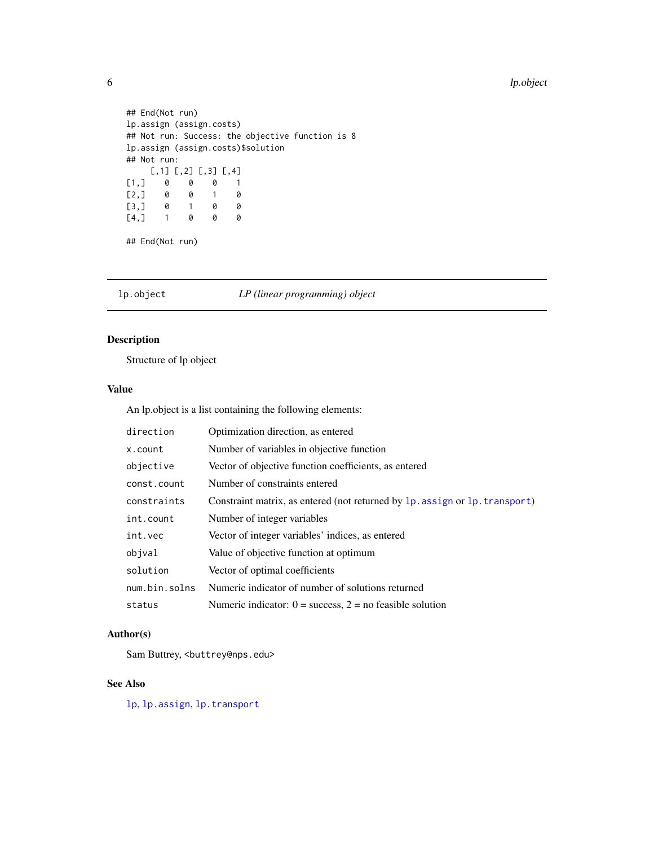```
## End(Not run)
lp.assign (assign.costs)
## Not run: Success: the objective function is 8
lp.assign (assign.costs)$solution
## Not run:
    [,1] [,2] [,3] [,4]
[1,] 0 0 0 1
[2,] 0 0 1 0
[3,] 0 1 0 0
[4,] 1 0 0 0
## End(Not run)
```
<span id="page-5-1"></span>lp.object *LP (linear programming) object*

# Description

Structure of lp object

#### Value

An lp.object is a list containing the following elements:

| direction     | Optimization direction, as entered                                          |
|---------------|-----------------------------------------------------------------------------|
| x.count       | Number of variables in objective function                                   |
| objective     | Vector of objective function coefficients, as entered                       |
| const.count   | Number of constraints entered                                               |
| constraints   | Constraint matrix, as entered (not returned by 1p. assign or 1p. transport) |
| int.count     | Number of integer variables                                                 |
| int.vec       | Vector of integer variables' indices, as entered                            |
| objval        | Value of objective function at optimum                                      |
| solution      | Vector of optimal coefficients                                              |
| num.bin.solns | Numeric indicator of number of solutions returned                           |
| status        | Numeric indicator: $0 =$ success, $2 =$ no feasible solution                |

# Author(s)

Sam Buttrey, <br/>buttrey@nps.edu>

# See Also

[lp](#page-1-1), [lp.assign](#page-3-1), [lp.transport](#page-6-1)

<span id="page-5-0"></span>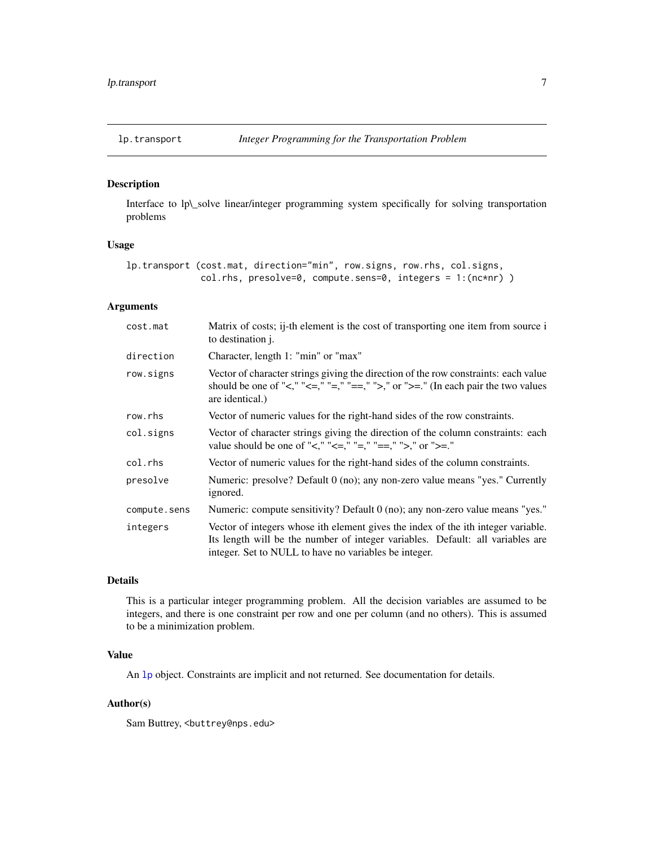<span id="page-6-1"></span><span id="page-6-0"></span>

# Description

Interface to lp\\_solve linear/integer programming system specifically for solving transportation problems

#### Usage

```
lp.transport (cost.mat, direction="min", row.signs, row.rhs, col.signs,
              col.rhs, presolve=0, compute.sens=0, integers = 1:(nc*nr) )
```
# Arguments

| cost.mat     | Matrix of costs; i-th element is the cost of transporting one item from source i<br>to destination <i>j.</i>                                                                                                                 |
|--------------|------------------------------------------------------------------------------------------------------------------------------------------------------------------------------------------------------------------------------|
| direction    | Character, length 1: "min" or "max"                                                                                                                                                                                          |
| row.signs    | Vector of character strings giving the direction of the row constraints: each value<br>should be one of "<," "<=," "=," "==," ">," or ">=." (In each pair the two values<br>are identical.)                                  |
| row.rhs      | Vector of numeric values for the right-hand sides of the row constraints.                                                                                                                                                    |
| col.signs    | Vector of character strings giving the direction of the column constraints: each<br>value should be one of "<," "<=," "=," "==," ">," or ">=."                                                                               |
| col.rhs      | Vector of numeric values for the right-hand sides of the column constraints.                                                                                                                                                 |
| presolve     | Numeric: presolve? Default 0 (no); any non-zero value means "yes." Currently<br>ignored.                                                                                                                                     |
| compute.sens | Numeric: compute sensitivity? Default 0 (no); any non-zero value means "yes."                                                                                                                                                |
| integers     | Vector of integers whose ith element gives the index of the ith integer variable.<br>Its length will be the number of integer variables. Default: all variables are<br>integer. Set to NULL to have no variables be integer. |

### Details

This is a particular integer programming problem. All the decision variables are assumed to be integers, and there is one constraint per row and one per column (and no others). This is assumed to be a minimization problem.

#### Value

An [lp](#page-1-1) object. Constraints are implicit and not returned. See documentation for details.

#### Author(s)

Sam Buttrey, <br/>buttrey@nps.edu>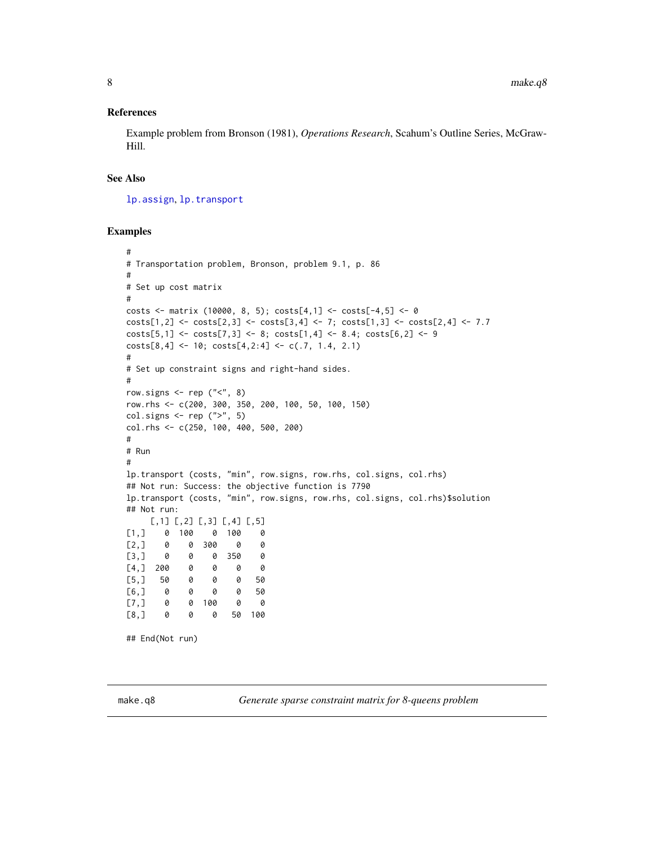#### <span id="page-7-0"></span>References

Example problem from Bronson (1981), *Operations Research*, Scahum's Outline Series, McGraw-Hill.

#### See Also

[lp.assign](#page-3-1), [lp.transport](#page-6-1)

#### Examples

```
#
# Transportation problem, Bronson, problem 9.1, p. 86
#
# Set up cost matrix
#
costs <- matrix (10000, 8, 5); costs[4,1] <- costs[-4,5] <- 0
costs[1,2] \leftarrow costs[2,3] \leftarrow costs[3,4] \leftarrow 7; costs[1,3] \leftarrow costs[2,4] \leftarrow 7.7costs[5,1] <- costs[7,3] <- 8; costs[1,4] <- 8.4; costs[6,2] <- 9
costs[8,4] \leftarrow 10; \; costs[4,2:4] \leftarrow c(.7, 1.4, 2.1)#
# Set up constraint signs and right-hand sides.
#
row.signs \leq rep ("<", 8)row.rhs <- c(200, 300, 350, 200, 100, 50, 100, 150)
col. signs \leftarrow rep (''>", 5)col.rhs <- c(250, 100, 400, 500, 200)
#
# Run
#
lp.transport (costs, "min", row.signs, row.rhs, col.signs, col.rhs)
## Not run: Success: the objective function is 7790
lp.transport (costs, "min", row.signs, row.rhs, col.signs, col.rhs)$solution
## Not run:
     [,1] [,2] [,3] [,4] [,5]
[1,] 0 100 0 100 0
[2,] 0 0 300 0 0
[3,] 0 0 0 350 0
[4,] 200 0 0 0 0[5,] 50 0 0 0 50
[6,] 0 0 0 0 50
[7,] 0 0 100 0 0
[8,] 0 0 0 50 100
## End(Not run)
```
make.q8 *Generate sparse constraint matrix for 8-queens problem*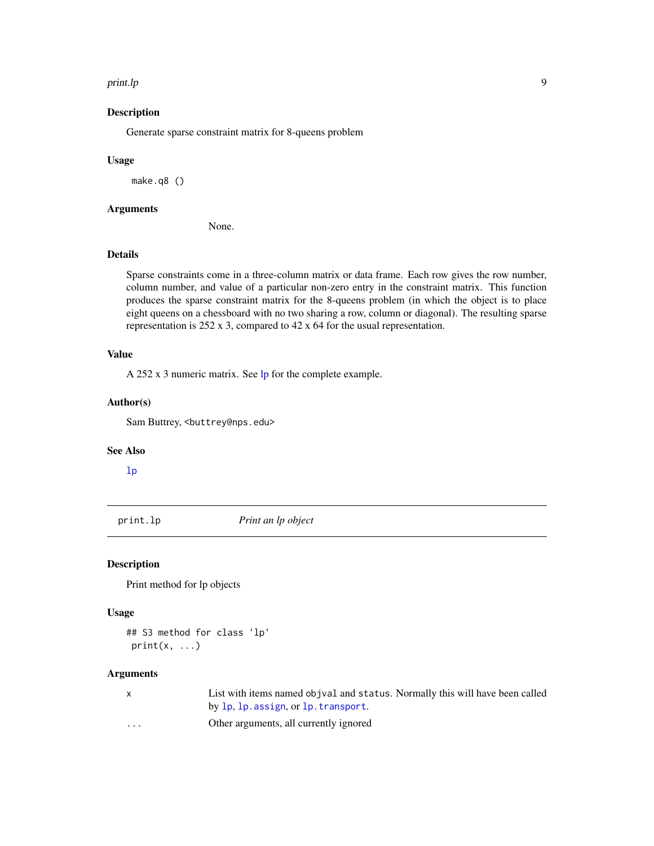#### <span id="page-8-0"></span>print.lp **9**

# Description

Generate sparse constraint matrix for 8-queens problem

#### Usage

make.q8 ()

# Arguments

None.

# Details

Sparse constraints come in a three-column matrix or data frame. Each row gives the row number, column number, and value of a particular non-zero entry in the constraint matrix. This function produces the sparse constraint matrix for the 8-queens problem (in which the object is to place eight queens on a chessboard with no two sharing a row, column or diagonal). The resulting sparse representation is 252 x 3, compared to 42 x 64 for the usual representation.

# Value

A 252 x 3 numeric matrix. See [lp](#page-1-1) for the complete example.

#### Author(s)

Sam Buttrey, <br/>buttrey@nps.edu>

#### See Also

[lp](#page-1-1)

print.lp *Print an lp object*

### Description

Print method for lp objects

# Usage

## S3 method for class 'lp'  $print(x, \ldots)$ 

#### Arguments

| $\mathsf{X}$ | List with items named objval and status. Normally this will have been called |
|--------------|------------------------------------------------------------------------------|
|              | by lp. lp. assign, or lp. transport.                                         |
| $\cdots$     | Other arguments, all currently ignored                                       |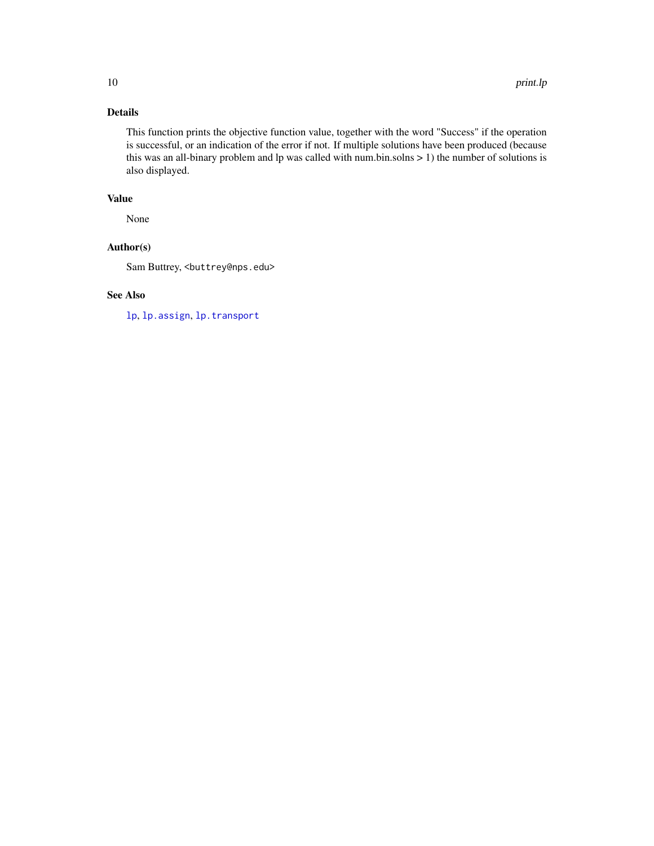# Details

This function prints the objective function value, together with the word "Success" if the operation is successful, or an indication of the error if not. If multiple solutions have been produced (because this was an all-binary problem and lp was called with num.bin.solns  $> 1$ ) the number of solutions is also displayed.

# Value

None

# Author(s)

Sam Buttrey, <br/>buttrey@nps.edu>

# See Also

[lp](#page-1-1), [lp.assign](#page-3-1), [lp.transport](#page-6-1)

<span id="page-9-0"></span>